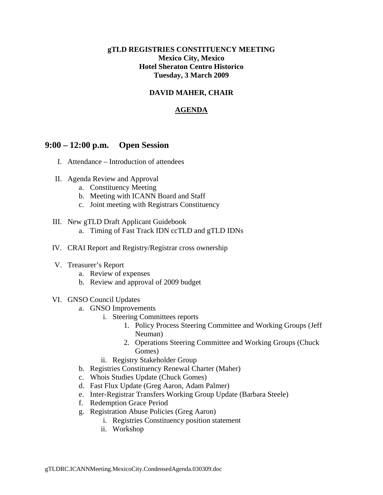### **gTLD REGISTRIES CONSTITUENCY MEETING Mexico City, Mexico Hotel Sheraton Centro Historico Tuesday, 3 March 2009**

## **DAVID MAHER, CHAIR**

## **AGENDA**

# **9:00 – 12:00 p.m. Open Session**

- I. Attendance Introduction of attendees
- II. Agenda Review and Approval
	- a. Constituency Meeting
	- b. Meeting with ICANN Board and Staff
	- c. Joint meeting with Registrars Constituency
- III. New gTLD Draft Applicant Guidebook
	- a. Timing of Fast Track IDN ccTLD and gTLD IDNs
- IV. CRAI Report and Registry/Registrar cross ownership
- V. Treasurer's Report
	- a. Review of expenses
	- b. Review and approval of 2009 budget
- VI. GNSO Council Updates
	- a. GNSO Improvements
		- i. Steering Committees reports
			- 1. Policy Process Steering Committee and Working Groups (Jeff Neuman)
			- 2. Operations Steering Committee and Working Groups (Chuck Gomes)
		- ii. Registry Stakeholder Group
	- b. Registries Constituency Renewal Charter (Maher)
	- c. Whois Studies Update (Chuck Gomes)
	- d. Fast Flux Update (Greg Aaron, Adam Palmer)
	- e. Inter-Registrar Transfers Working Group Update (Barbara Steele)
	- f. Redemption Grace Period
	- g. Registration Abuse Policies (Greg Aaron)
		- i. Registries Constituency position statement
		- ii. Workshop